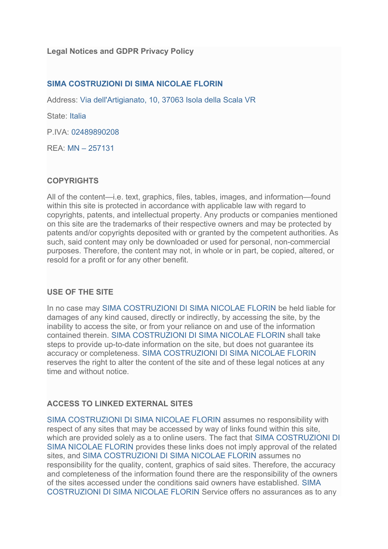## **SIMA COSTRUZIONI DI SIMA NICOLAE FLORIN**

Address: Via dell'Artigianato, 10, 37063 Isola della Scala VR

State: Italia

P.IVA: 02489890208

REA: MN – 257131

# **COPYRIGHTS**

All of the content—i.e. text, graphics, files, tables, images, and information—found within this site is protected in accordance with applicable law with regard to copyrights, patents, and intellectual property. Any products or companies mentioned on this site are the trademarks of their respective owners and may be protected by patents and/or copyrights deposited with or granted by the competent authorities. As such, said content may only be downloaded or used for personal, non-commercial purposes. Therefore, the content may not, in whole or in part, be copied, altered, or resold for a profit or for any other benefit.

## **USE OF THE SITE**

In no case may SIMA COSTRUZIONI DI SIMA NICOLAE FLORIN be held liable for damages of any kind caused, directly or indirectly, by accessing the site, by the inability to access the site, or from your reliance on and use of the information contained therein. SIMA COSTRUZIONI DI SIMA NICOLAE FLORIN shall take steps to provide up-to-date information on the site, but does not guarantee its accuracy or completeness. SIMA COSTRUZIONI DI SIMA NICOLAE FLORIN reserves the right to alter the content of the site and of these legal notices at any time and without notice.

## **ACCESS TO LINKED EXTERNAL SITES**

SIMA COSTRUZIONI DI SIMA NICOLAE FLORIN assumes no responsibility with respect of any sites that may be accessed by way of links found within this site, which are provided solely as a to online users. The fact that SIMA COSTRUZIONI DI SIMA NICOLAE FLORIN provides these links does not imply approval of the related sites, and SIMA COSTRUZIONI DI SIMA NICOLAE FLORIN assumes no responsibility for the quality, content, graphics of said sites. Therefore, the accuracy and completeness of the information found there are the responsibility of the owners of the sites accessed under the conditions said owners have established. SIMA COSTRUZIONI DI SIMA NICOLAE FLORIN Service offers no assurances as to any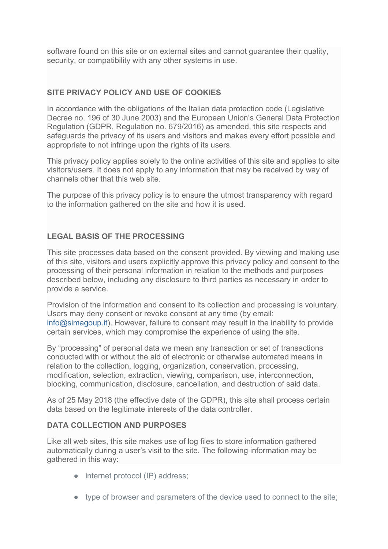software found on this site or on external sites and cannot guarantee their quality, security, or compatibility with any other systems in use.

# **SITE PRIVACY POLICY AND USE OF COOKIES**

In accordance with the obligations of the Italian data protection code (Legislative Decree no. 196 of 30 June 2003) and the European Union's General Data Protection Regulation (GDPR, Regulation no. 679/2016) as amended, this site respects and safeguards the privacy of its users and visitors and makes every effort possible and appropriate to not infringe upon the rights of its users.

This privacy policy applies solely to the online activities of this site and applies to site visitors/users. It does not apply to any information that may be received by way of channels other that this web site.

The purpose of this privacy policy is to ensure the utmost transparency with regard to the information gathered on the site and how it is used.

# **LEGAL BASIS OF THE PROCESSING**

This site processes data based on the consent provided. By viewing and making use of this site, visitors and users explicitly approve this privacy policy and consent to the processing of their personal information in relation to the methods and purposes described below, including any disclosure to third parties as necessary in order to provide a service.

Provision of the information and consent to its collection and processing is voluntary. Users may deny consent or revoke consent at any time (by email: info@simagoup.it). However, failure to consent may result in the inability to provide certain services, which may compromise the experience of using the site.

By "processing" of personal data we mean any transaction or set of transactions conducted with or without the aid of electronic or otherwise automated means in relation to the collection, logging, organization, conservation, processing, modification, selection, extraction, viewing, comparison, use, interconnection, blocking, communication, disclosure, cancellation, and destruction of said data.

As of 25 May 2018 (the effective date of the GDPR), this site shall process certain data based on the legitimate interests of the data controller.

#### **DATA COLLECTION AND PURPOSES**

Like all web sites, this site makes use of log files to store information gathered automatically during a user's visit to the site. The following information may be gathered in this way:

- internet protocol (IP) address;
- type of browser and parameters of the device used to connect to the site;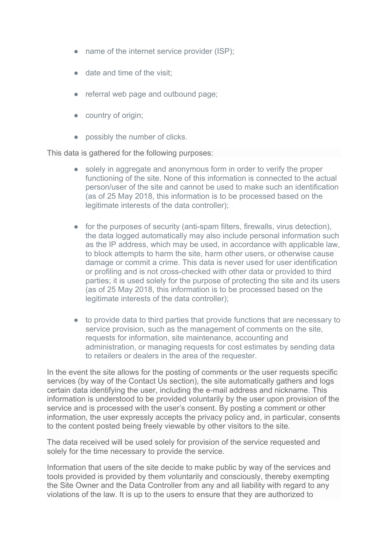- name of the internet service provider (ISP);
- date and time of the visit;
- referral web page and outbound page;
- country of origin;
- possibly the number of clicks.

This data is gathered for the following purposes:

- solely in aggregate and anonymous form in order to verify the proper functioning of the site. None of this information is connected to the actual person/user of the site and cannot be used to make such an identification (as of 25 May 2018, this information is to be processed based on the legitimate interests of the data controller);
- for the purposes of security (anti-spam filters, firewalls, virus detection), the data logged automatically may also include personal information such as the IP address, which may be used, in accordance with applicable law, to block attempts to harm the site, harm other users, or otherwise cause damage or commit a crime. This data is never used for user identification or profiling and is not cross-checked with other data or provided to third parties; it is used solely for the purpose of protecting the site and its users (as of 25 May 2018, this information is to be processed based on the legitimate interests of the data controller);
- to provide data to third parties that provide functions that are necessary to service provision, such as the management of comments on the site, requests for information, site maintenance, accounting and administration, or managing requests for cost estimates by sending data to retailers or dealers in the area of the requester.

In the event the site allows for the posting of comments or the user requests specific services (by way of the Contact Us section), the site automatically gathers and logs certain data identifying the user, including the e-mail address and nickname. This information is understood to be provided voluntarily by the user upon provision of the service and is processed with the user's consent. By posting a comment or other information, the user expressly accepts the privacy policy and, in particular, consents to the content posted being freely viewable by other visitors to the site.

The data received will be used solely for provision of the service requested and solely for the time necessary to provide the service.

Information that users of the site decide to make public by way of the services and tools provided is provided by them voluntarily and consciously, thereby exempting the Site Owner and the Data Controller from any and all liability with regard to any violations of the law. It is up to the users to ensure that they are authorized to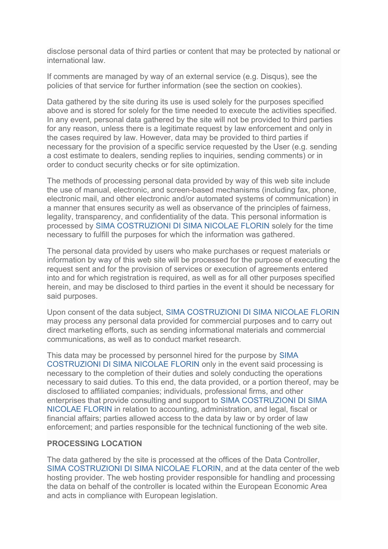disclose personal data of third parties or content that may be protected by national or international law.

If comments are managed by way of an external service (e.g. Disqus), see the policies of that service for further information (see the section on cookies).

Data gathered by the site during its use is used solely for the purposes specified above and is stored for solely for the time needed to execute the activities specified. In any event, personal data gathered by the site will not be provided to third parties for any reason, unless there is a legitimate request by law enforcement and only in the cases required by law. However, data may be provided to third parties if necessary for the provision of a specific service requested by the User (e.g. sending a cost estimate to dealers, sending replies to inquiries, sending comments) or in order to conduct security checks or for site optimization.

The methods of processing personal data provided by way of this web site include the use of manual, electronic, and screen-based mechanisms (including fax, phone, electronic mail, and other electronic and/or automated systems of communication) in a manner that ensures security as well as observance of the principles of fairness, legality, transparency, and confidentiality of the data. This personal information is processed by SIMA COSTRUZIONI DI SIMA NICOLAE FLORIN solely for the time necessary to fulfill the purposes for which the information was gathered.

The personal data provided by users who make purchases or request materials or information by way of this web site will be processed for the purpose of executing the request sent and for the provision of services or execution of agreements entered into and for which registration is required, as well as for all other purposes specified herein, and may be disclosed to third parties in the event it should be necessary for said purposes.

Upon consent of the data subject, SIMA COSTRUZIONI DI SIMA NICOLAE FLORIN may process any personal data provided for commercial purposes and to carry out direct marketing efforts, such as sending informational materials and commercial communications, as well as to conduct market research.

This data may be processed by personnel hired for the purpose by SIMA COSTRUZIONI DI SIMA NICOLAE FLORIN only in the event said processing is necessary to the completion of their duties and solely conducting the operations necessary to said duties. To this end, the data provided, or a portion thereof, may be disclosed to affiliated companies; individuals, professional firms, and other enterprises that provide consulting and support to SIMA COSTRUZIONI DI SIMA NICOLAE FLORIN in relation to accounting, administration, and legal, fiscal or financial affairs; parties allowed access to the data by law or by order of law enforcement; and parties responsible for the technical functioning of the web site.

#### **PROCESSING LOCATION**

The data gathered by the site is processed at the offices of the Data Controller, SIMA COSTRUZIONI DI SIMA NICOLAE FLORIN, and at the data center of the web hosting provider. The web hosting provider responsible for handling and processing the data on behalf of the controller is located within the European Economic Area and acts in compliance with European legislation.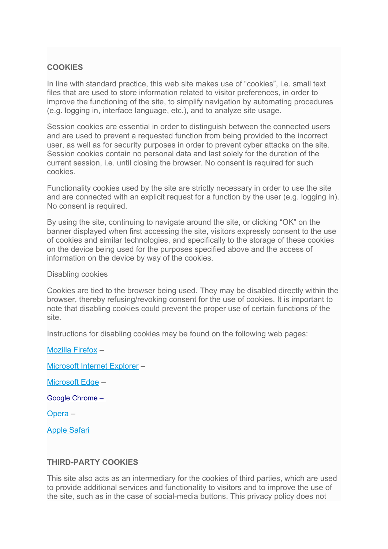## **COOKIES**

In line with standard practice, this web site makes use of "cookies", i.e. small text files that are used to store information related to visitor preferences, in order to improve the functioning of the site, to simplify navigation by automating procedures (e.g. logging in, interface language, etc.), and to analyze site usage.

Session cookies are essential in order to distinguish between the connected users and are used to prevent a requested function from being provided to the incorrect user, as well as for security purposes in order to prevent cyber attacks on the site. Session cookies contain no personal data and last solely for the duration of the current session, i.e. until closing the browser. No consent is required for such cookies.

Functionality cookies used by the site are strictly necessary in order to use the site and are connected with an explicit request for a function by the user (e.g. logging in). No consent is required.

By using the site, continuing to navigate around the site, or clicking "OK" on the banner displayed when first accessing the site, visitors expressly consent to the use of cookies and similar technologies, and specifically to the storage of these cookies on the device being used for the purposes specified above and the access of information on the device by way of the cookies.

Disabling cookies

Cookies are tied to the browser being used. They may be disabled directly within the browser, thereby refusing/revoking consent for the use of cookies. It is important to note that disabling cookies could prevent the proper use of certain functions of the site.

Instructions for disabling cookies may be found on the following web pages:

[Microsoft Internet Explorer](https://support.microsoft.com/it-it/help/17442/windows-internet-explorer-delete-manage-cookies) –

[Microsoft Edge](https://support.microsoft.com/it-it/help/4027947/windows-delete-cookies) –

[Mozilla Firefox](https://support.mozilla.org/it/kb/Attivare%20e%20disattivare%20i%20cookie) –

 [Google Chrome](https://support.google.com/chrome/answer/95647?hl=it) [–](http://support.google.com/chrome/bin/answer.py?hl=it&answer=95647) 

[Opera](http://help.opera.com/Windows/10.00/it/cookies.html) –

[Apple Safari](https://support.apple.com/it-it/HT201265)

#### **THIRD-PARTY COOKIES**

This site also acts as an intermediary for the cookies of third parties, which are used to provide additional services and functionality to visitors and to improve the use of the site, such as in the case of social-media buttons. This privacy policy does not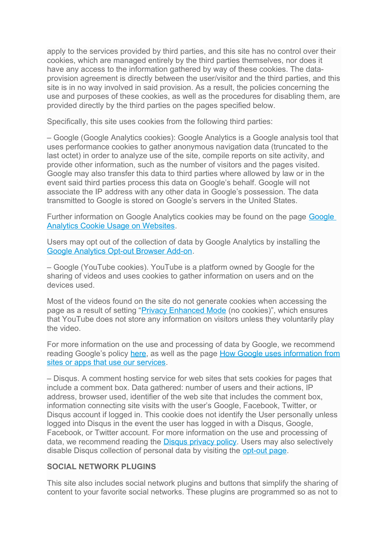apply to the services provided by third parties, and this site has no control over their cookies, which are managed entirely by the third parties themselves, nor does it have any access to the information gathered by way of these cookies. The dataprovision agreement is directly between the user/visitor and the third parties, and this site is in no way involved in said provision. As a result, the policies concerning the use and purposes of these cookies, as well as the procedures for disabling them, are provided directly by the third parties on the pages specified below.

Specifically, this site uses cookies from the following third parties:

– Google (Google Analytics cookies): Google Analytics is a Google analysis tool that uses performance cookies to gather anonymous navigation data (truncated to the last octet) in order to analyze use of the site, compile reports on site activity, and provide other information, such as the number of visitors and the pages visited. Google may also transfer this data to third parties where allowed by law or in the event said third parties process this data on Google's behalf. Google will not associate the IP address with any other data in Google's possession. The data transmitted to Google is stored on Google's servers in the United States.

Further information on Google Analytics cookies may be found on the page [Google](https://developers.google.com/analytics/devguides/collection/analyticsjs/cookie-usage)  [Analytics Cookie Usage on Websites.](https://developers.google.com/analytics/devguides/collection/analyticsjs/cookie-usage)

Users may opt out of the collection of data by Google Analytics by installing the [Google Analytics Opt-out Browser Add-on.](https://tools.google.com/dlpage/gaoptout)

– Google (YouTube cookies). YouTube is a platform owned by Google for the sharing of videos and uses cookies to gather information on users and on the devices used.

Most of the videos found on the site do not generate cookies when accessing the page as a result of setting ["Privacy Enhanced Mode](https://support.google.com/youtube/answer/171780?expand=PrivacyEnhancedMode#privacy) (no cookies)", which ensures that YouTube does not store any information on visitors unless they voluntarily play the video.

For more information on the use and processing of data by Google, we recommend reading Google's policy [here,](http://www.google.com/intl/it/policies/privacy/) as well as the page [How Google uses information from](https://policies.google.com/privacy/partners?hl=en) [sites or apps that use our services.](https://policies.google.com/privacy/partners?hl=en)

– Disqus. A comment hosting service for web sites that sets cookies for pages that include a comment box. Data gathered: number of users and their actions, IP address, browser used, identifier of the web site that includes the comment box, information connecting site visits with the user's Google, Facebook, Twitter, or Disqus account if logged in. This cookie does not identify the User personally unless logged into Disqus in the event the user has logged in with a Disqus, Google, Facebook, or Twitter account. For more information on the use and processing of data, we recommend reading the **Disqus privacy policy**. Users may also selectively disable Disqus collection of personal data by visiting the [opt-out page.](https://help.disqus.com/customer/portal/articles/1657951)

## **SOCIAL NETWORK PLUGINS**

This site also includes social network plugins and buttons that simplify the sharing of content to your favorite social networks. These plugins are programmed so as not to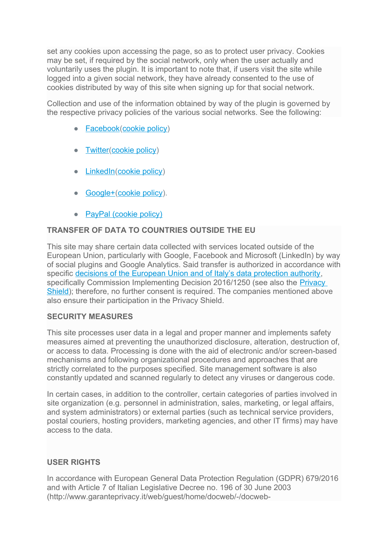set any cookies upon accessing the page, so as to protect user privacy. Cookies may be set, if required by the social network, only when the user actually and voluntarily uses the plugin. It is important to note that, if users visit the site while logged into a given social network, they have already consented to the use of cookies distributed by way of this site when signing up for that social network.

Collection and use of the information obtained by way of the plugin is governed by the respective privacy policies of the various social networks. See the following:

- [Facebook](https://www.facebook.com/about/privacy/)[\(cookie policy\)](https://www.facebook.com/help/cookies/)
- [Twitter](https://twitter.com/privacy?lang=it)[\(cookie policy\)](https://help.twitter.com/en/rules-and-policies/twitter-cookies)
- [LinkedIn\(](https://www.linkedin.com/legal/privacy-policy)[cookie policy\)](https://www.linkedin.com/legal/cookie-policy)
- [Google+\(](http://www.google.com/intl/it/policies/privacy/)[cookie policy\)](https://policies.google.com/technologies/cookies?hl=en).
- [PayPal \(cookie policy\)](https://www.paypal.com/us/webapps/mpp/ua/cookie-full)

## **TRANSFER OF DATA TO COUNTRIES OUTSIDE THE EU**

This site may share certain data collected with services located outside of the European Union, particularly with Google, Facebook and Microsoft (LinkedIn) by way of social plugins and Google Analytics. Said transfer is authorized in accordance with specific [decisions of the European Union and of Italy's data protection authority,](http://eur-lex.europa.eu/legal-content/EN/TXT/?uri=CELEX:32016D1250) specifically Commission Implementing Decision 2016/1250 (see also the [Privacy](http://eur-lex.europa.eu/legal-content/EN/TXT/?uri=CELEX:32016D1250)  [Shield\)](http://eur-lex.europa.eu/legal-content/EN/TXT/?uri=CELEX:32016D1250); therefore, no further consent is required. The companies mentioned above also ensure their participation in the Privacy Shield.

## **SECURITY MEASURES**

This site processes user data in a legal and proper manner and implements safety measures aimed at preventing the unauthorized disclosure, alteration, destruction of, or access to data. Processing is done with the aid of electronic and/or screen-based mechanisms and following organizational procedures and approaches that are strictly correlated to the purposes specified. Site management software is also constantly updated and scanned regularly to detect any viruses or dangerous code.

In certain cases, in addition to the controller, certain categories of parties involved in site organization (e.g. personnel in administration, sales, marketing, or legal affairs, and system administrators) or external parties (such as technical service providers, postal couriers, hosting providers, marketing agencies, and other IT firms) may have access to the data.

## **USER RIGHTS**

In accordance with European General Data Protection Regulation (GDPR) 679/2016 and with Article 7 of Italian Legislative Decree no. 196 of 30 June 2003 (http://www.garanteprivacy.it/web/guest/home/docweb/-/docweb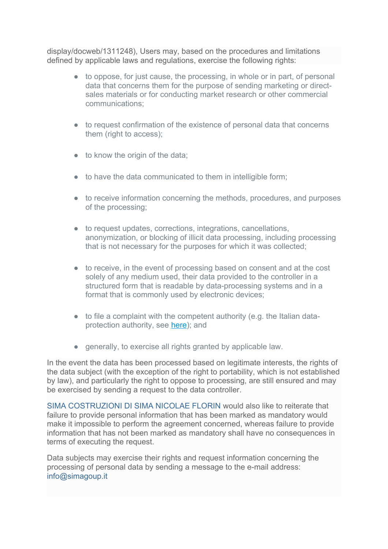display/docweb/1311248), Users may, based on the procedures and limitations defined by applicable laws and regulations, exercise the following rights:

- to oppose, for just cause, the processing, in whole or in part, of personal data that concerns them for the purpose of sending marketing or directsales materials or for conducting market research or other commercial communications;
- to request confirmation of the existence of personal data that concerns them (right to access):
- $\bullet$  to know the origin of the data;
- to have the data communicated to them in intelligible form;
- to receive information concerning the methods, procedures, and purposes of the processing;
- to request updates, corrections, integrations, cancellations, anonymization, or blocking of illicit data processing, including processing that is not necessary for the purposes for which it was collected;
- to receive, in the event of processing based on consent and at the cost solely of any medium used, their data provided to the controller in a structured form that is readable by data-processing systems and in a format that is commonly used by electronic devices;
- to file a complaint with the competent authority (e.g. the Italian dataprotection authority, see [here\)](http://www.garanteprivacy.it/web/guest/home/docweb/-/docweb-display/docweb/4535524); and
- generally, to exercise all rights granted by applicable law.

In the event the data has been processed based on legitimate interests, the rights of the data subject (with the exception of the right to portability, which is not established by law), and particularly the right to oppose to processing, are still ensured and may be exercised by sending a request to the data controller.

SIMA COSTRUZIONI DI SIMA NICOLAE FLORIN would also like to reiterate that failure to provide personal information that has been marked as mandatory would make it impossible to perform the agreement concerned, whereas failure to provide information that has not been marked as mandatory shall have no consequences in terms of executing the request.

Data subjects may exercise their rights and request information concerning the processing of personal data by sending a message to the e-mail address: info@simagoup.it